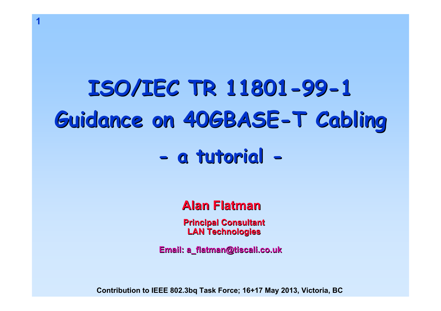# **ISO/IEC TR 11801 ISO/IEC TR 11801-99-1 Guidance on 40GBASE Guidance on 40GBASE-T Cabling T Cabling**

**1**

#### **a tutorial a tutorial -**

# **Alan Flatman Alan Flatman**

**Principal Cons Principal Consultant LAN Technologies chnologies**

**Email: a\_flatman@tiscali.co.uk latman@tiscali.co.uk**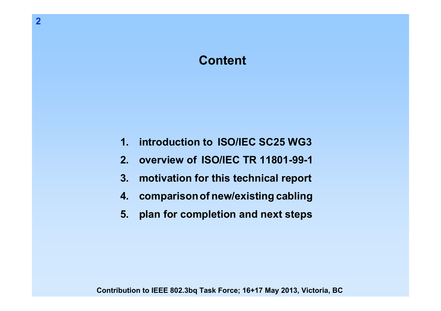# **Content**

- **1.introduction to ISO/IEC SC25 WG3**
- **2.overview of ISO/IEC TR 11801-99-1**
- **3.motivation for this technical report**
- **4.comparisonof new/existing cabling**
- **5.plan for completion and next steps**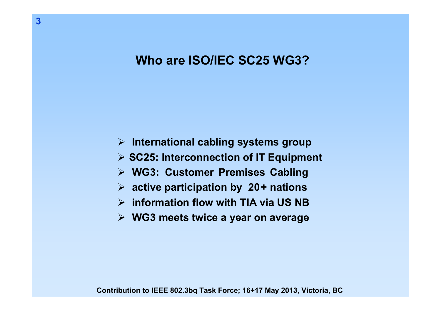#### **Who are ISO/IEC SC25 WG3?**

- ¾ **International cabling systems group**
- ¾ **SC25: Interconnection of IT Equipment**
- ¾ **WG3: Customer Premises Cabling**
- ¾ **active participation by 20+ nations**
- ¾ **information flow with TIA via US NB**
- ¾ **WG3 meets twice a year on average**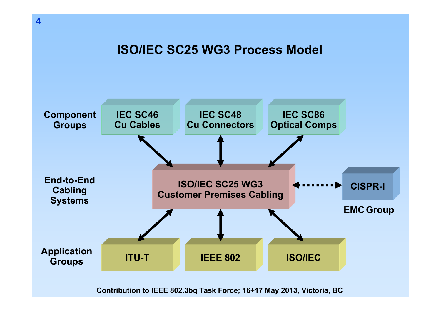**ISO/IEC SC25 WG3 Process Model**

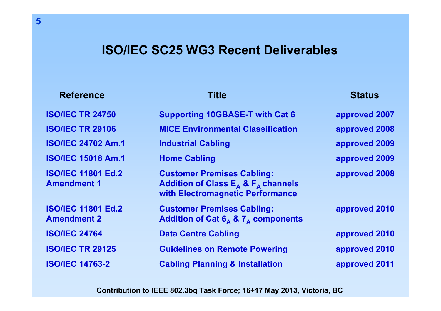#### **ISO/IEC SC25 WG3 Recent Deliverables**

#### **Reference**

#### e Title Status

#### **ISO/IEC TR 24750 Supporting 10GBASE-T with Cat 6 approved 2007 ISO/IEC TR 29106 MICE Environmental Classification approved 2008 ISO/IEC 24702 Am.1 Industrial Cabling approved 2009 ISO/IEC 15018 Am.1 Home Cabling approved 2009 ISO/IEC 11801 Ed.2 Customer Premises Cabling: approved 2008 Amendment 1**1 Addition of Class E<sub>A</sub> & F<sub>A</sub> channels **with Electromagnetic Performance ISO/IEC 11801 Ed.2 Customer Premises Cabling: approved 2010 Amendment 2Addition of Cat 6<sub>A</sub> & 7<sub>A</sub> components ISO/IEC 24764Data Centre Cabling and Cablic Cablic Cablic Cablic Cablic Cablic Cablic Cablic Cablic Cablic Cablic Cablic Cablic Cablic Cablic Cablic Cablic Cablic Cablic Cablic Cablic Cablic Cablic Cablic Cablic Cablic Cablic Cablic C ISO/IEC TR 29125 Guidelines on Remote Powering approved 2010 ISO/IEC 14763-2Cabling Planning & Installation approved 2011**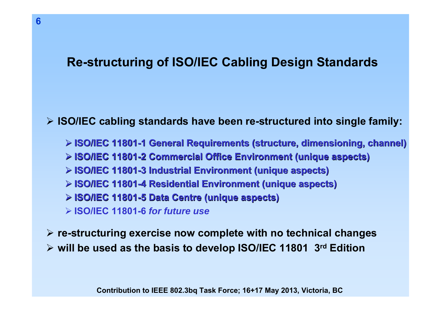# **Re-structuring of ISO/IEC Cabling Design Standards**

¾ **ISO/IEC cabling standards have been re-structured into single family:**

- ¾ **ISO/IEC 11801 ISO/IEC 11801-1 General Requirements (structure, dimensioning, channel) 1 General Requirements (structure, dimensioning, channel)**
- ¾ **ISO/IEC 11801 ISO/IEC 11801-2 Commercial Office Environment (unique aspects) 2 Commercial Office Environment (unique aspects)**
- ¾ **ISO/IEC 11801 ISO/IEC 11801-3 Industrial Environment (unique aspects) 3 Industrial Environment (unique aspects)**
- ¾ **ISO/IEC 11801 ISO/IEC 11801-4 Residential Environment (unique aspects) 4 Residential Environment (unique aspects)**
- ¾ **ISO/IEC 11801 ISO/IEC 11801-5 Data Centre (unique aspects) 5 Data Centre (unique aspects)**
- ¾ **ISO/IEC 11801-6** *for future use*

¾ **re-structuring exercise now complete with no technical changes**

¾ **will be used as the basis to develop ISO/IEC 11801 3rd Edition**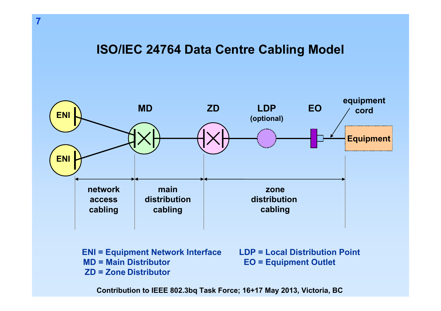#### **ISO/IEC 24764 Data Centre Cabling Model**



**ENI = Equipment Network Interface MD = Main DistributorZD = Zone Distributor**

**LDP = Local Distribution PointEO = Equipment Outlet**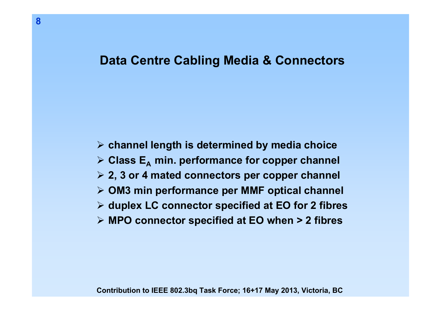#### **Data Centre Cabling Media & Connectors**

¾ **channel length is determined by media choice ≻ Class E<sub>A</sub> min. performance for copper channel** ¾ **2, 3 or 4 mated connectors per copper channel** ¾ **OM3 min performance per MMF optical channel** ¾ **duplex LC connector specified at EO for 2 fibres** ¾ **MPO connector specified at EO when > 2 fibres**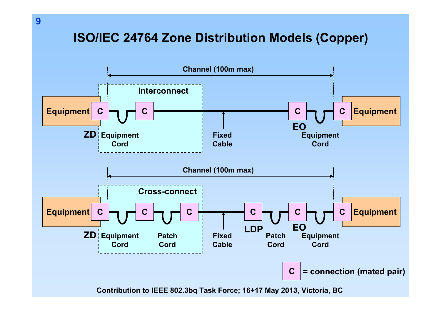# **ISO/IEC 24764 Zone Distribution Models (Copper)**

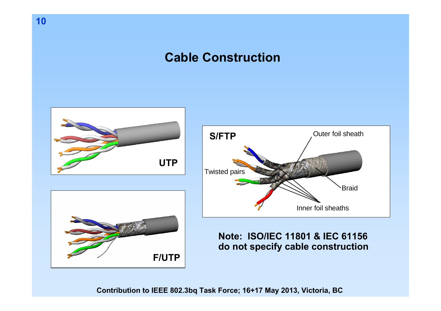**Cable Construction**

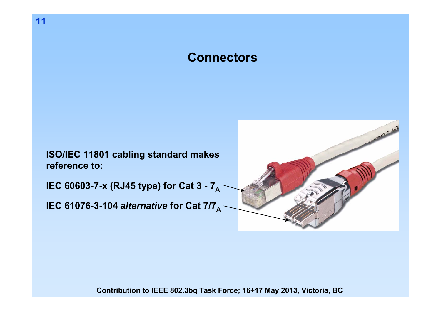## **Connectors**

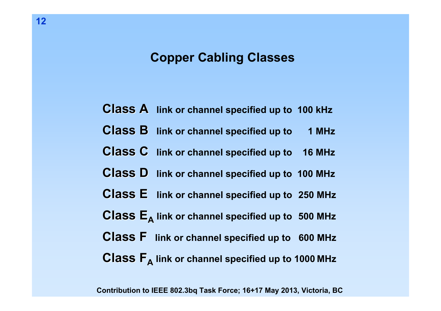## **Copper Cabling Classes**

- **Class A Class A link or channel specified up to 100 kHz**
- **Class B Class B link or channel specified up to 1 MHz**
- **Class C Class C link or channel specified up to 16 MHz**
- **Class D Class D link or channel specified up to 100 MHz**
- **Class E** link or channel specified up to 250 MHz
- $\mathbf{Class}\ \mathbf{E}_{\mathbf{A}}$  link or channel specified up to  $\$  500 MHz
- **Class F Class F link or channel specified up to 600 MHz**
- $\mathbf{Class}\ \mathsf{F}_{\mathsf{A}}$  link or channel specified up to 1000 MHz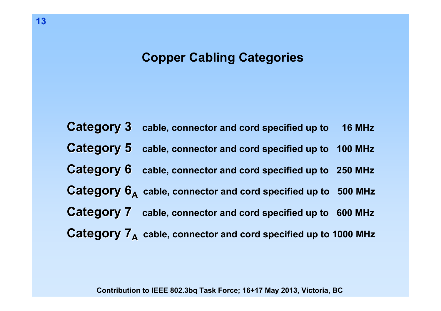### **Copper Cabling Categories**

**Category 3 Category 3 cable, connector and cord specified up to 16 MHz Category 5 Category 5 cable, connector and cord specified up to 100 MHz Category 6 Category 6 cable, connector and cord specified up to 250 MHz**  $\mathbf{C}$ a $\mathbf{tegory}$   $\mathbf{6}_{\mathsf{A}}^{\phantom{\dag}}$  cable, connector and cord specified up to  $\phantom{0}$  500 MHz **Category 7 Category 7 cable, connector and cord specified up to 600 MHz**  $\mathbf{Categorical}$   $\mathbf{7}_{\mathsf{A}}$   $\,$  cable, connector and cord specified up to 1000 MHz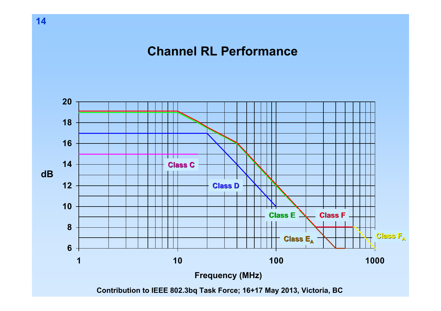**Channel RL Performance**

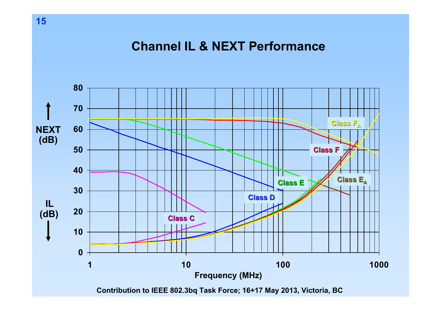#### **Channel IL & NEXT Performance**

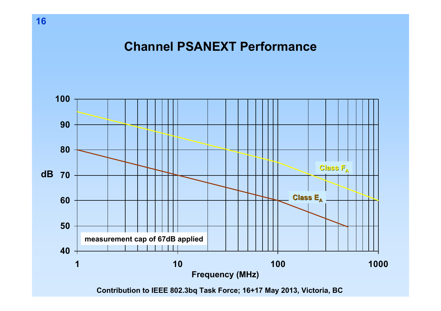**Channel PSANEXT Performance**



**Contribution to IEEE 802.3bq Task Force; 16+17 May 2013, Victoria, BC**

**16**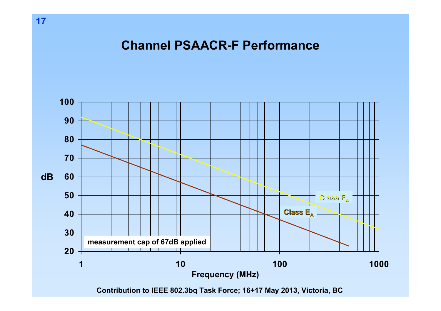**Channel PSAACR-F Performance**



**Contribution to IEEE 802.3bq Task Force; 16+17 May 2013, Victoria, BC**

**17**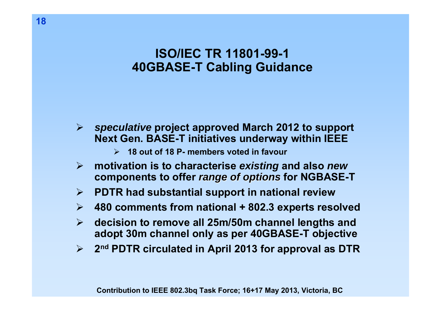# **ISO/IEC TR 11801-99-140GBASE-T Cabling Guidance**

 $\blacktriangleright$  *speculative* **project approved March 2012 to support Next Gen. BASE-T initiatives underway within IEEE**

- ¾ **18 out of 18 P- members voted in favour**
- ¾ **motivation is to characterise** *existing* **and also** *new*  **components to offer** *range of options range of options* **for NGBASE-T**
- $\blacktriangleright$ **PDTR had substantial support in national review**
- $\blacktriangleright$ **480 comments from national + 802.3 experts resolved**
- $\blacktriangleright$  **decision to remove all 25m/50m channel lengths and adopt 30m channel only as per 40GBASE-T objective**
- $\blacktriangleright$ **2nd PDTR circulated in April 2013 for approval as DTR**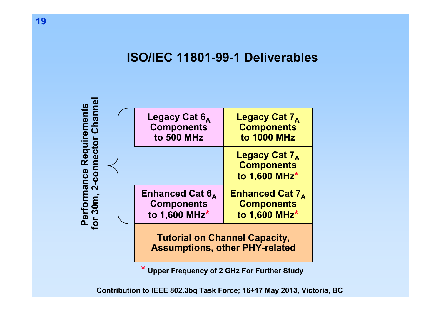#### **ISO/IEC 11801-99-1 Deliverables**



**\* Upper Frequency of 2 GHz For Further Study**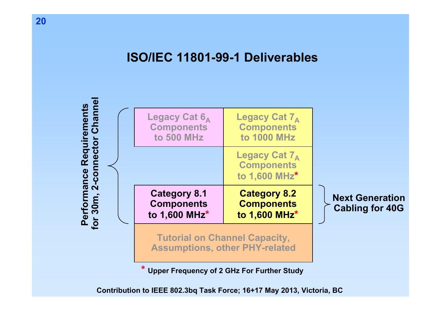#### **ISO/IEC 11801-99-1 Deliverables**



**\* Upper Frequency of 2 GHz For Further Study**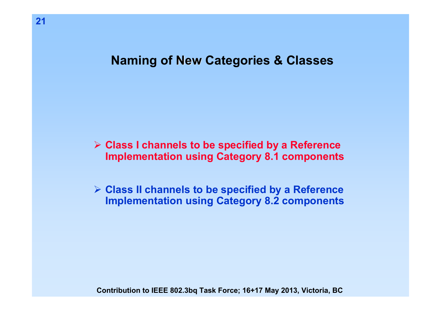#### **Naming of New Categories & Classes**

¾ **Class I channels to be specified by a Reference Implementation using Category 8.1 components**

¾ **Class II channels to be specified by a Reference Implementation using Category 8.2 components**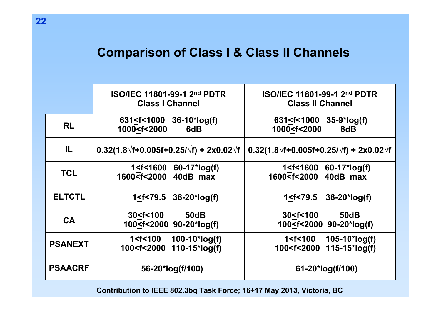# **Comparison of Class I & Class II Channels**

|                | <b>ISO/IEC 11801-99-1 2nd PDTR</b><br><b>Class I Channel</b>                                                        | <b>ISO/IEC 11801-99-1 2nd PDTR</b><br><b>Class II Channel</b>   |  |  |
|----------------|---------------------------------------------------------------------------------------------------------------------|-----------------------------------------------------------------|--|--|
| <b>RL</b>      | 631 <f<1000 36-10*log(f)<br="">1000<f<2000<br>6dB</f<2000<br></f<1000>                                              | $631 < f < 1000$ 35-9*log(f)<br>1000 <f<2000<br>8dB</f<2000<br> |  |  |
| IL.            | $0.32(1.8\sqrt{f}+0.005f+0.25/\sqrt{f}) + 2x0.02\sqrt{f}$                                                           | $0.32(1.8\sqrt{f}+0.005f+0.25/\sqrt{f}) + 2x0.02\sqrt{f}$       |  |  |
| <b>TCL</b>     | 1 <f<1600 60-17*log(f)<="" td=""><td><math>60 - 17</math>*log(f)<br/>1<f<1600< td=""></f<1600<></td></f<1600>       | $60 - 17$ *log(f)<br>1 <f<1600< td=""></f<1600<>                |  |  |
|                | 1600 <f<2000 40db="" max<="" td=""><td>1600<f<2000 40db="" max<="" td=""></f<2000></td></f<2000>                    | 1600 <f<2000 40db="" max<="" td=""></f<2000>                    |  |  |
| <b>ELTCTL</b>  | $1 < f < 79.5$ 38-20*log(f)                                                                                         | 1 <f<79.5<br><math>38 - 20</math>*log(f)</f<79.5<br>            |  |  |
| <b>CA</b>      | 30 < f < 100<br><b>50dB</b>                                                                                         | <b>50dB</b><br>30 < f < 100                                     |  |  |
|                | 100 <f<2000 90-20*log(f)<="" td=""><td>100<f<2000 90-20*log(f)<="" td=""></f<2000></td></f<2000>                    | 100 <f<2000 90-20*log(f)<="" td=""></f<2000>                    |  |  |
| <b>PSANEXT</b> | 1 <f<100 100-10*log(f)<="" td=""><td><math>105 - 10</math>*log(f)<br/>1<f<100< td=""></f<100<></td></f<100>         | $105 - 10$ *log(f)<br>1 <f<100< td=""></f<100<>                 |  |  |
|                | 100 <f<2000 110-15*log(f)<="" td=""><td><math>115 - 15</math>*log(f)<br/>100<f<2000< td=""></f<2000<></td></f<2000> | $115 - 15$ *log(f)<br>100 <f<2000< td=""></f<2000<>             |  |  |
| <b>PSAACRF</b> | 56-20*log(f/100)                                                                                                    | 61-20*log(f/100)                                                |  |  |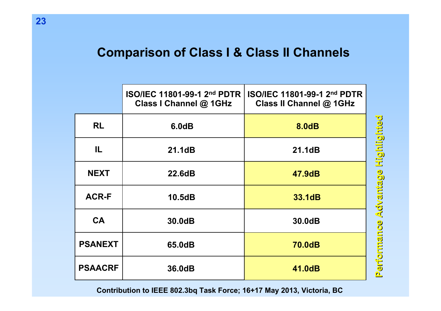# **Comparison of Class I & Class II Channels**

|                | ISO/IEC 11801-99-1 2nd PDTR<br>Class I Channel @ 1GHz | ISO/IEC 11801-99-1 2nd PDTR<br>Class II Channel @ 1GHz |                       |
|----------------|-------------------------------------------------------|--------------------------------------------------------|-----------------------|
| <b>RL</b>      | 6.0dB                                                 | 8.0dB                                                  |                       |
| IL.            | 21.1dB                                                | 21.1dB                                                 | Highlighted           |
| <b>NEXT</b>    | 22.6dB                                                | 47.9dB                                                 |                       |
| <b>ACR-F</b>   | 10.5dB                                                | 33.1dB                                                 | Performance Advantage |
| <b>CA</b>      | 30.0dB                                                | 30.0dB                                                 |                       |
| <b>PSANEXT</b> | 65.0dB                                                | <b>70.0dB</b>                                          |                       |
| <b>PSAACRF</b> | 36.0dB                                                | 41.0dB                                                 |                       |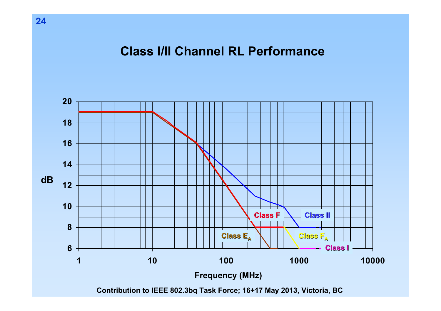#### **Class I/II Channel RL Performance**



**Contribution to IEEE 802.3bq Task Force; 16+17 May 2013, Victoria, BC**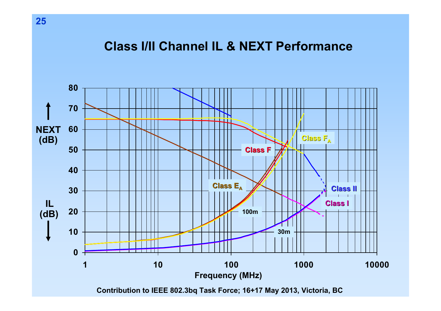### **Class I/II Channel IL & NEXT Performance**

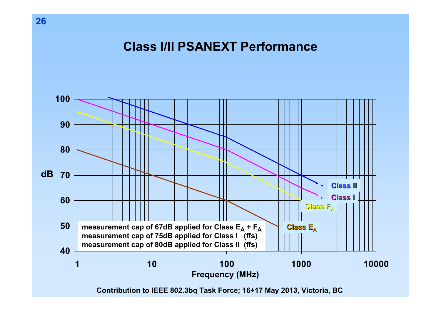**Class I/II PSANEXT Performance**



**Contribution to IEEE 802.3bq Task Force; 16+17 May 2013, Victoria, BC**

**26**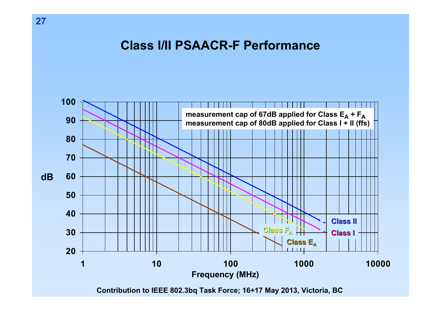**Class I/II PSAACR-F Performance**



**Contribution to IEEE 802.3bq Task Force; 16+17 May 2013, Victoria, BC**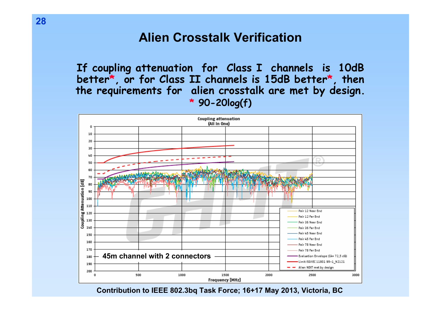#### **Alien Crosstalk Verification**

**If coupling attenuation for Class I channels is 10dB better \*, or for Class II channels is 15d B better \*, then the requirements for alien crosstalk are met by design. \* 90-20log(f)**

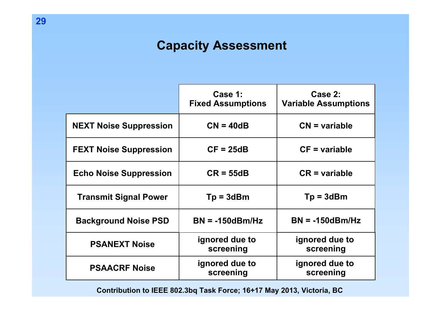# **Capacity Assessment**

|                               | Case 1:<br><b>Fixed Assumptions</b> | Case 2:<br><b>Variable Assumptions</b> |  |
|-------------------------------|-------------------------------------|----------------------------------------|--|
| <b>NEXT Noise Suppression</b> | $CN = 40dB$                         | $CN = variable$                        |  |
| <b>FEXT Noise Suppression</b> | $CF = 25dB$                         | $CF = variable$                        |  |
| <b>Echo Noise Suppression</b> | $CR = 55dB$                         | $CR = variable$                        |  |
| <b>Transmit Signal Power</b>  | $Tp = 3dBm$                         | $Tp = 3dBm$                            |  |
| <b>Background Noise PSD</b>   | $BN = -150dBm/Hz$                   | $BN = -150dBm/Hz$                      |  |
| <b>PSANEXT Noise</b>          | ignored due to<br>screening         | ignored due to<br>screening            |  |
| <b>PSAACRF Noise</b>          | ignored due to<br>screening         | ignored due to<br>screening            |  |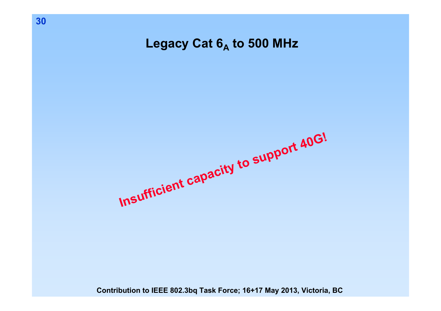**Legacy Cat 6A to 500 MHz**

**Insufficient capacity to support 40G!**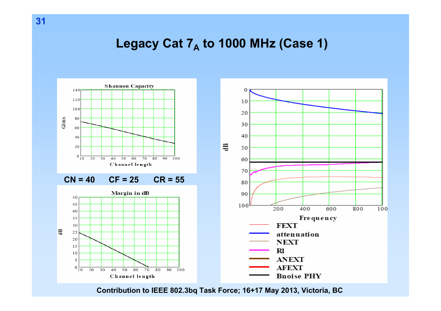# Legacy Cat 7<sub>A</sub> to 1000 MHz (Case 1)

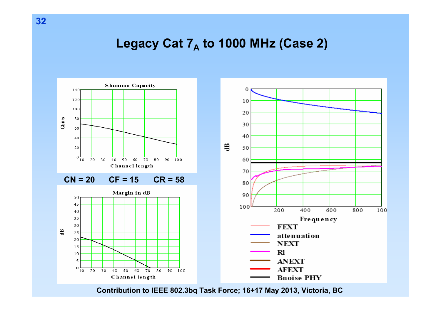# Legacy Cat 7<sub>A</sub> to 1000 MHz (Case 2)

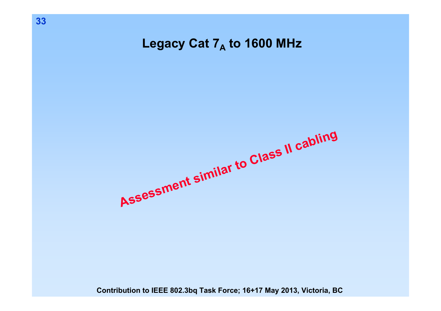Legacy Cat 7<sub>A</sub> to 1600 MHz

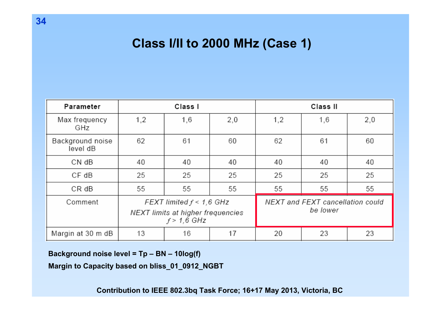# **Class I/II to 2000 MHz (Case 1)**

| Parameter                    | Class I                                                                          |     |     | Class II                                     |     |     |
|------------------------------|----------------------------------------------------------------------------------|-----|-----|----------------------------------------------|-----|-----|
| Max frequency<br>GHz         | 1,2                                                                              | 1,6 | 2,0 | 1,2                                          | 1,6 | 2,0 |
| Background noise<br>level dB | 62                                                                               | 61  | 60  | 62                                           | 61  | 60  |
| CN dB                        | 40                                                                               | 40  | 40  | 40                                           | 40  | 40  |
| $CF$ $dB$                    | 25                                                                               | 25  | 25  | 25                                           | 25  | 25  |
| CR dB                        | 55                                                                               | 55  | 55  | 55                                           | 55  | 55  |
| Comment                      | FEXT limited $f < 1,6$ GHz<br>NEXT limits at higher frequencies<br>$f > 1.6$ GHz |     |     | NEXT and FEXT cancellation could<br>be lower |     |     |
| Margin at 30 m dB            | 13                                                                               | 16  | 17  | 20                                           | 23  | 23  |

**Background noise level = Tp – BN – 10log(f)** 

**Margin to Capacity based on bliss\_01\_0912\_NGBT**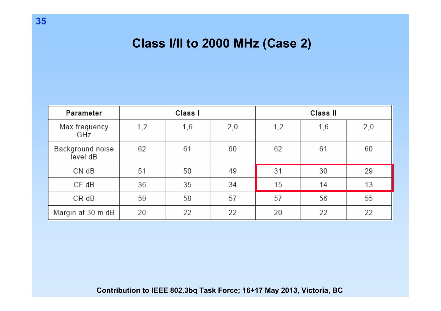# **Class I/II to 2000 MHz (Case 2)**

| Parameter                    | Class I |     | Class II |     |     |     |
|------------------------------|---------|-----|----------|-----|-----|-----|
| Max frequency<br>GHz         | 1,2     | 1,6 | 2,0      | 1,2 | 1,6 | 2,0 |
| Background noise<br>level dB | 62      | 61  | 60       | 62  | 61  | 60  |
| CN dB                        | 51      | 50  | 49       | 31  | 30  | 29  |
| $CF$ $dB$                    | 36      | 35  | 34       | 15  | 14  | 13  |
| $CR$ $dB$                    | 59      | 58  | 57       | 57  | 56  | 55  |
| Margin at 30 m dB            | 20      | 22  | 22       | 20  | 22  | 22  |